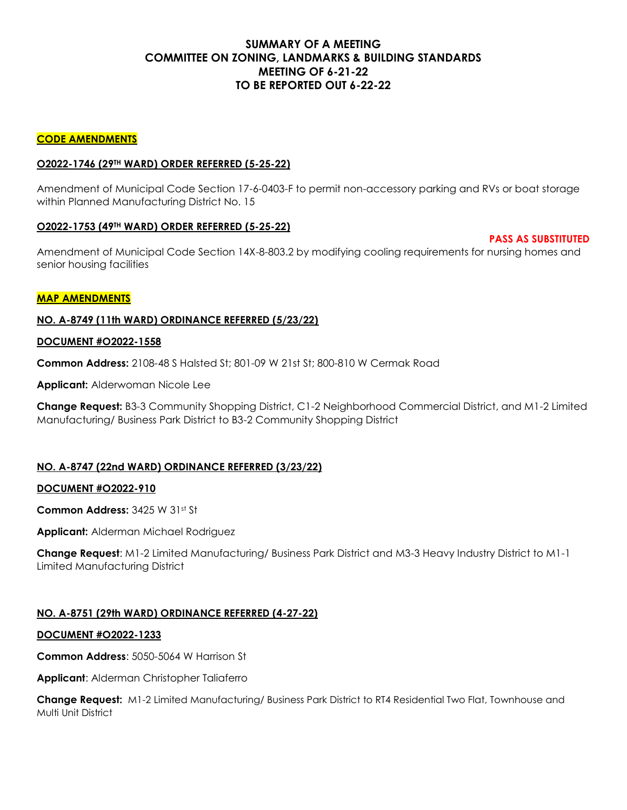# **SUMMARY OF A MEETING COMMITTEE ON ZONING, LANDMARKS & BUILDING STANDARDS MEETING OF 6-21-22 TO BE REPORTED OUT 6-22-22**

#### **CODE AMENDMENTS**

#### **O2022-1746 (29TH WARD) ORDER REFERRED (5-25-22)**

Amendment of Municipal Code Section 17-6-0403-F to permit non-accessory parking and RVs or boat storage within Planned Manufacturing District No. 15

#### **O2022-1753 (49TH WARD) ORDER REFERRED (5-25-22)**

Amendment of Municipal Code Section 14X-8-803.2 by modifying cooling requirements for nursing homes and senior housing facilities

**PASS AS SUBSTITUTED**

#### **MAP AMENDMENTS**

## **NO. A-8749 (11th WARD) ORDINANCE REFERRED (5/23/22)**

#### **DOCUMENT #O2022-1558**

**Common Address:** 2108-48 S Halsted St; 801-09 W 21st St; 800-810 W Cermak Road

**Applicant:** Alderwoman Nicole Lee

**Change Request:** B3-3 Community Shopping District, C1-2 Neighborhood Commercial District, and M1-2 Limited Manufacturing/ Business Park District to B3-2 Community Shopping District

## **NO. A-8747 (22nd WARD) ORDINANCE REFERRED (3/23/22)**

#### **DOCUMENT #O2022-910**

**Common Address:** 3425 W 31st St

**Applicant:** Alderman Michael Rodriguez

**Change Request**: M1-2 Limited Manufacturing/ Business Park District and M3-3 Heavy Industry District to M1-1 Limited Manufacturing District

## **NO. A-8751 (29th WARD) ORDINANCE REFERRED (4-27-22)**

#### **DOCUMENT #O2022-1233**

**Common Address**: 5050-5064 W Harrison St

**Applicant**: Alderman Christopher Taliaferro

**Change Request:** M1-2 Limited Manufacturing/ Business Park District to RT4 Residential Two Flat, Townhouse and Multi Unit District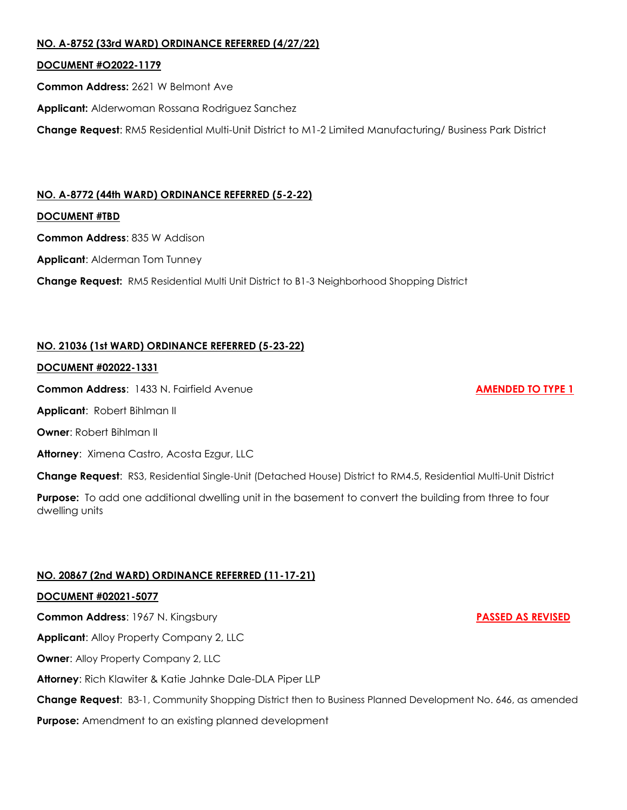## **NO. A-8752 (33rd WARD) ORDINANCE REFERRED (4/27/22)**

## **DOCUMENT #O2022-1179**

**Common Address:** 2621 W Belmont Ave

**Applicant:** Alderwoman Rossana Rodriguez Sanchez

**Change Request**: RM5 Residential Multi-Unit District to M1-2 Limited Manufacturing/ Business Park District

# **NO. A-8772 (44th WARD) ORDINANCE REFERRED (5-2-22)**

#### **DOCUMENT #TBD**

**Common Address**: 835 W Addison

**Applicant**: Alderman Tom Tunney

**Change Request:** RM5 Residential Multi Unit District to B1-3 Neighborhood Shopping District

# **NO. 21036 (1st WARD) ORDINANCE REFERRED (5-23-22)**

#### **DOCUMENT #02022-1331**

**Common Address:** 1433 N. Fairfield Avenue **AMENDED TO TYPE 1** 

**Applicant**: Robert Bihlman II

**Owner**: Robert Bihlman II

**Attorney**: Ximena Castro, Acosta Ezgur, LLC

**Change Request**: RS3, Residential Single-Unit (Detached House) District to RM4.5, Residential Multi-Unit District

**Purpose:** To add one additional dwelling unit in the basement to convert the building from three to four dwelling units

## **NO. 20867 (2nd WARD) ORDINANCE REFERRED (11-17-21)**

## **DOCUMENT #02021-5077**

**Common Address:** 1967 N. Kingsbury **PASSED AS REVISED Applicant**: Alloy Property Company 2, LLC **Owner: Alloy Property Company 2, LLC Attorney**: Rich Klawiter & Katie Jahnke Dale-DLA Piper LLP **Change Request**: B3-1, Community Shopping District then to Business Planned Development No. 646, as amended **Purpose:** Amendment to an existing planned development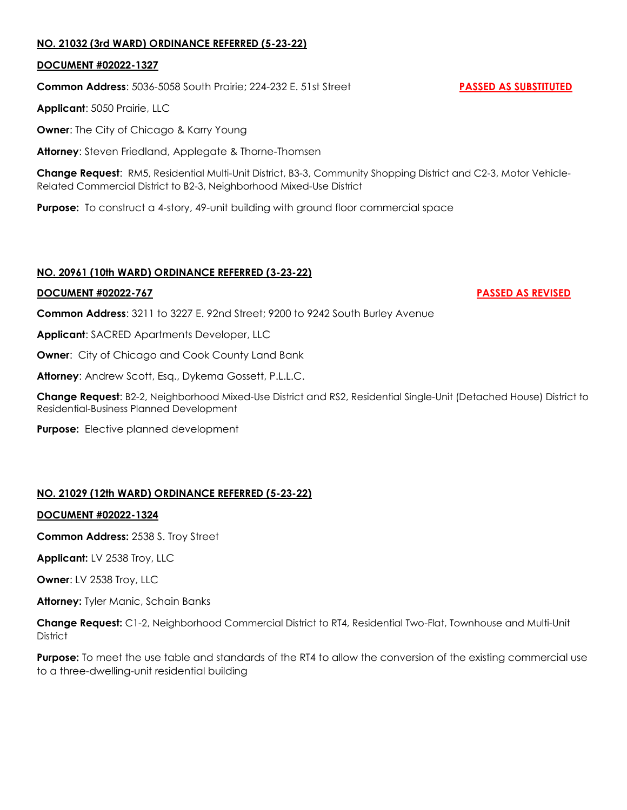## **NO. 21032 (3rd WARD) ORDINANCE REFERRED (5-23-22)**

#### **DOCUMENT #02022-1327**

**Common Address**: 5036-5058 South Prairie; 224-232 E. 51st Street **PASSED AS SUBSTITUTED**

**Applicant**: 5050 Prairie, LLC

**Owner**: The City of Chicago & Karry Young

**Attorney**: Steven Friedland, Applegate & Thorne-Thomsen

**Change Request**: RM5, Residential Multi-Unit District, B3-3, Community Shopping District and C2-3, Motor Vehicle-Related Commercial District to B2-3, Neighborhood Mixed-Use District

**Purpose:** To construct a 4-story, 49-unit building with ground floor commercial space

## **NO. 20961 (10th WARD) ORDINANCE REFERRED (3-23-22)**

#### **DOCUMENT #02022-767 PASSED AS REVISED**

**Common Address**: 3211 to 3227 E. 92nd Street; 9200 to 9242 South Burley Avenue

**Applicant**: SACRED Apartments Developer, LLC

**Owner:** City of Chicago and Cook County Land Bank

**Attorney**: Andrew Scott, Esq., Dykema Gossett, P.L.L.C.

**Change Request**: B2-2, Neighborhood Mixed-Use District and RS2, Residential Single-Unit (Detached House) District to Residential-Business Planned Development

**Purpose:** Elective planned development

## **NO. 21029 (12th WARD) ORDINANCE REFERRED (5-23-22)**

#### **DOCUMENT #02022-1324**

**Common Address:** 2538 S. Troy Street

**Applicant:** LV 2538 Troy, LLC

**Owner**: LV 2538 Troy, LLC

**Attorney:** Tyler Manic, Schain Banks

**Change Request:** C1-2, Neighborhood Commercial District to RT4, Residential Two-Flat, Townhouse and Multi-Unit **District** 

**Purpose:** To meet the use table and standards of the RT4 to allow the conversion of the existing commercial use to a three-dwelling-unit residential building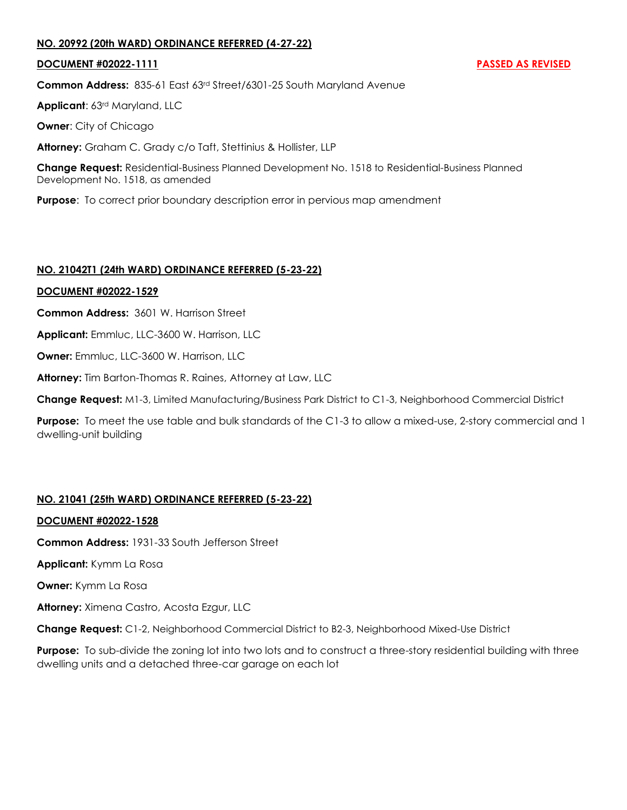## **NO. 20992 (20th WARD) ORDINANCE REFERRED (4-27-22)**

#### **DOCUMENT #02022-1111 PASSED AS REVISED**

**Common Address:** 835-61 East 63rd Street/6301-25 South Maryland Avenue

**Applicant**: 63rd Maryland, LLC

**Owner**: City of Chicago

**Attorney:** Graham C. Grady c/o Taft, Stettinius & Hollister, LLP

**Change Request:** Residential-Business Planned Development No. 1518 to Residential-Business Planned Development No. 1518, as amended

**Purpose**: To correct prior boundary description error in pervious map amendment

## **NO. 21042T1 (24th WARD) ORDINANCE REFERRED (5-23-22)**

#### **DOCUMENT #02022-1529**

**Common Address:** 3601 W. Harrison Street

**Applicant:** Emmluc, LLC-3600 W. Harrison, LLC

**Owner:** Emmluc, LLC-3600 W. Harrison, LLC

**Attorney:** Tim Barton-Thomas R. Raines, Attorney at Law, LLC

**Change Request:** M1-3, Limited Manufacturing/Business Park District to C1-3, Neighborhood Commercial District

**Purpose:** To meet the use table and bulk standards of the C1-3 to allow a mixed-use, 2-story commercial and 1 dwelling-unit building

## **NO. 21041 (25th WARD) ORDINANCE REFERRED (5-23-22)**

## **DOCUMENT #02022-1528**

**Common Address:** 1931-33 South Jefferson Street

**Applicant:** Kymm La Rosa

**Owner:** Kymm La Rosa

**Attorney:** Ximena Castro, Acosta Ezgur, LLC

**Change Request:** C1-2, Neighborhood Commercial District to B2-3, Neighborhood Mixed-Use District

**Purpose:** To sub-divide the zoning lot into two lots and to construct a three-story residential building with three dwelling units and a detached three-car garage on each lot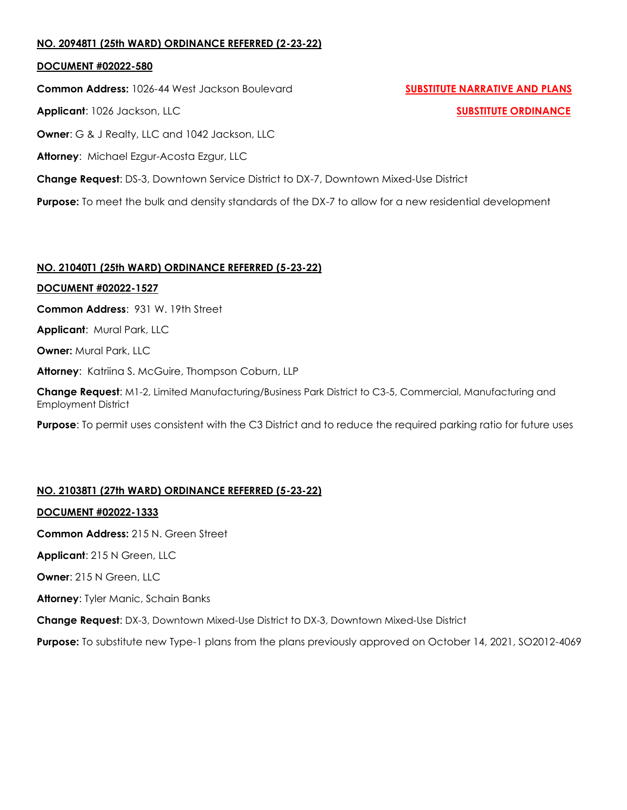## **NO. 20948T1 (25th WARD) ORDINANCE REFERRED (2-23-22)**

#### **DOCUMENT #02022-580**

**Common Address:** 1026-44 West Jackson Boulevard **SUBSTITUTE NARRATIVE AND PLANS** 

**Applicant**: 1026 Jackson, LLC **SUBSTITUTE ORDINANCE**

**Owner**: G & J Realty, LLC and 1042 Jackson, LLC

**Attorney**: Michael Ezgur-Acosta Ezgur, LLC

**Change Request**: DS-3, Downtown Service District to DX-7, Downtown Mixed-Use District

**Purpose:** To meet the bulk and density standards of the DX-7 to allow for a new residential development

## **NO. 21040T1 (25th WARD) ORDINANCE REFERRED (5-23-22)**

## **DOCUMENT #02022-1527**

**Common Address**: 931 W. 19th Street

**Applicant**: Mural Park, LLC

**Owner:** Mural Park, LLC

**Attorney**: Katriina S. McGuire, Thompson Coburn, LLP

**Change Request**: M1-2, Limited Manufacturing/Business Park District to C3-5, Commercial, Manufacturing and Employment District

**Purpose**: To permit uses consistent with the C3 District and to reduce the required parking ratio for future uses

# **NO. 21038T1 (27th WARD) ORDINANCE REFERRED (5-23-22)**

## **DOCUMENT #02022-1333**

**Common Address:** 215 N. Green Street

**Applicant**: 215 N Green, LLC

**Owner**: 215 N Green, LLC

**Attorney**: Tyler Manic, Schain Banks

**Change Request**: DX-3, Downtown Mixed-Use District to DX-3, Downtown Mixed-Use District

**Purpose:** To substitute new Type-1 plans from the plans previously approved on October 14, 2021, SO2012-4069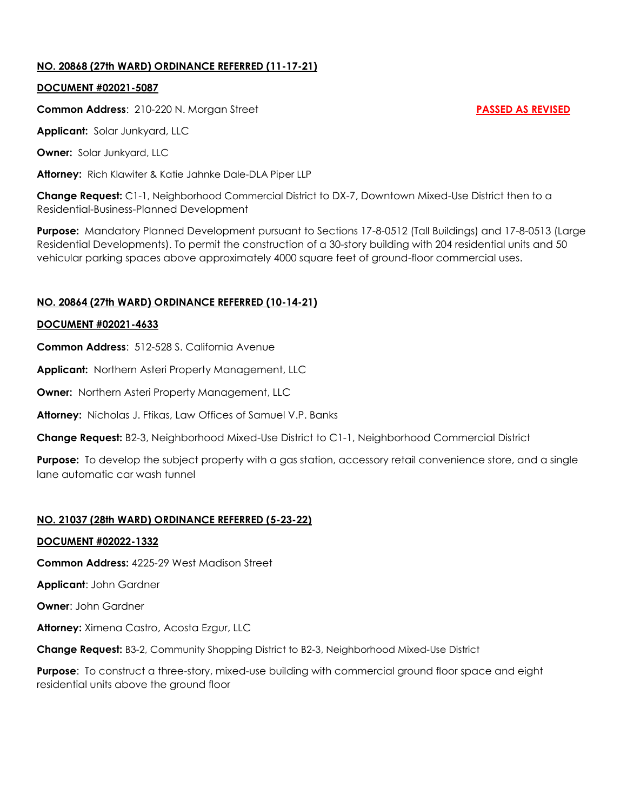## **NO. 20868 (27th WARD) ORDINANCE REFERRED (11-17-21)**

#### **DOCUMENT #02021-5087**

**Common Address:** 210-220 N. Morgan Street **PASSED AS REVISED** 

**Applicant:** Solar Junkyard, LLC

**Owner:** Solar Junkyard, LLC

**Attorney:** Rich Klawiter & Katie Jahnke Dale-DLA Piper LLP

**Change Request:** C1-1, Neighborhood Commercial District to DX-7, Downtown Mixed-Use District then to a Residential-Business-Planned Development

**Purpose:** Mandatory Planned Development pursuant to Sections 17-8-0512 (Tall Buildings) and 17-8-0513 (Large Residential Developments). To permit the construction of a 30-story building with 204 residential units and 50 vehicular parking spaces above approximately 4000 square feet of ground-floor commercial uses.

# **NO. 20864 (27th WARD) ORDINANCE REFERRED (10-14-21)**

#### **DOCUMENT #02021-4633**

**Common Address**: 512-528 S. California Avenue

**Applicant:** Northern Asteri Property Management, LLC

**Owner:** Northern Asteri Property Management, LLC

**Attorney:** Nicholas J. Ftikas, Law Offices of Samuel V.P. Banks

**Change Request:** B2-3, Neighborhood Mixed-Use District to C1-1, Neighborhood Commercial District

**Purpose:** To develop the subject property with a gas station, accessory retail convenience store, and a single lane automatic car wash tunnel

## **NO. 21037 (28th WARD) ORDINANCE REFERRED (5-23-22)**

## **DOCUMENT #02022-1332**

**Common Address:** 4225-29 West Madison Street

**Applicant**: John Gardner

**Owner**: John Gardner

**Attorney:** Ximena Castro, Acosta Ezgur, LLC

**Change Request:** B3-2, Community Shopping District to B2-3, Neighborhood Mixed-Use District

**Purpose**: To construct a three-story, mixed-use building with commercial ground floor space and eight residential units above the ground floor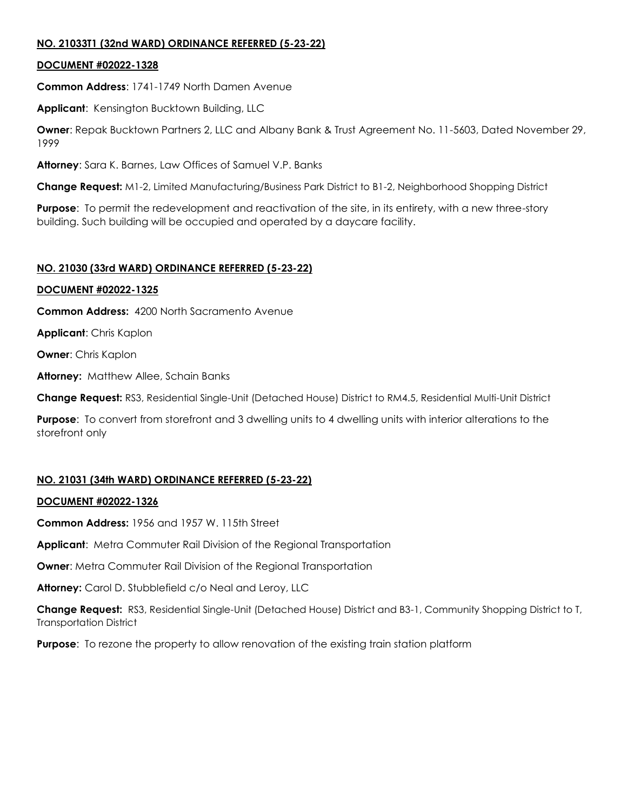## **NO. 21033T1 (32nd WARD) ORDINANCE REFERRED (5-23-22)**

## **DOCUMENT #02022-1328**

**Common Address**: 1741-1749 North Damen Avenue

**Applicant**: Kensington Bucktown Building, LLC

**Owner**: Repak Bucktown Partners 2, LLC and Albany Bank & Trust Agreement No. 11-5603, Dated November 29, 1999

**Attorney**: Sara K. Barnes, Law Offices of Samuel V.P. Banks

**Change Request:** M1-2, Limited Manufacturing/Business Park District to B1-2, Neighborhood Shopping District

**Purpose**: To permit the redevelopment and reactivation of the site, in its entirety, with a new three-story building. Such building will be occupied and operated by a daycare facility.

## **NO. 21030 (33rd WARD) ORDINANCE REFERRED (5-23-22)**

## **DOCUMENT #02022-1325**

**Common Address:** 4200 North Sacramento Avenue

**Applicant**: Chris Kaplon

**Owner**: Chris Kaplon

**Attorney:** Matthew Allee, Schain Banks

**Change Request:** RS3, Residential Single-Unit (Detached House) District to RM4.5, Residential Multi-Unit District

**Purpose**: To convert from storefront and 3 dwelling units to 4 dwelling units with interior alterations to the storefront only

# **NO. 21031 (34th WARD) ORDINANCE REFERRED (5-23-22)**

## **DOCUMENT #02022-1326**

**Common Address:** 1956 and 1957 W. 115th Street

**Applicant**: Metra Commuter Rail Division of the Regional Transportation

**Owner**: Metra Commuter Rail Division of the Regional Transportation

**Attorney:** Carol D. Stubblefield c/o Neal and Leroy, LLC

**Change Request:** RS3, Residential Single-Unit (Detached House) District and B3-1, Community Shopping District to T, Transportation District

**Purpose:** To rezone the property to allow renovation of the existing train station platform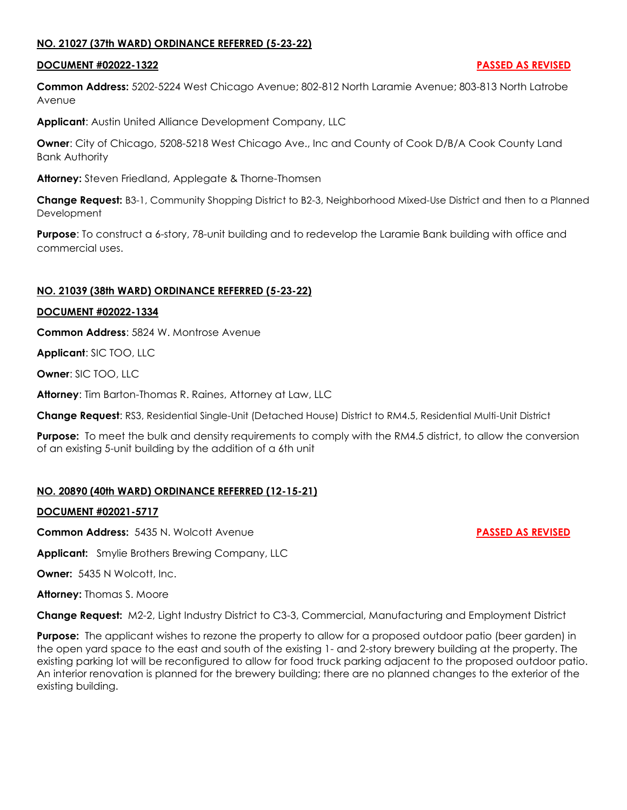## **NO. 21027 (37th WARD) ORDINANCE REFERRED (5-23-22)**

#### **DOCUMENT #02022-1322 PASSED AS REVISED**

**Common Address:** 5202-5224 West Chicago Avenue; 802-812 North Laramie Avenue; 803-813 North Latrobe Avenue

**Applicant**: Austin United Alliance Development Company, LLC

**Owner**: City of Chicago, 5208-5218 West Chicago Ave., Inc and County of Cook D/B/A Cook County Land Bank Authority

**Attorney:** Steven Friedland, Applegate & Thorne-Thomsen

**Change Request:** B3-1, Community Shopping District to B2-3, Neighborhood Mixed-Use District and then to a Planned **Development** 

**Purpose**: To construct a 6-story, 78-unit building and to redevelop the Laramie Bank building with office and commercial uses.

## **NO. 21039 (38th WARD) ORDINANCE REFERRED (5-23-22)**

#### **DOCUMENT #02022-1334**

**Common Address**: 5824 W. Montrose Avenue

**Applicant**: SIC TOO, LLC

**Owner**: SIC TOO, LLC

**Attorney**: Tim Barton-Thomas R. Raines, Attorney at Law, LLC

**Change Request**: RS3, Residential Single-Unit (Detached House) District to RM4.5, Residential Multi-Unit District

**Purpose:** To meet the bulk and density requirements to comply with the RM4.5 district, to allow the conversion of an existing 5-unit building by the addition of a 6th unit

## **NO. 20890 (40th WARD) ORDINANCE REFERRED (12-15-21)**

#### **DOCUMENT #02021-5717**

**Common Address:** 5435 N. Wolcott Avenue **PASSED AS REVISED** 

**Applicant:** Smylie Brothers Brewing Company, LLC

**Owner:** 5435 N Wolcott, Inc.

**Attorney:** Thomas S. Moore

**Change Request:** M2-2, Light Industry District to C3-3, Commercial, Manufacturing and Employment District

**Purpose:** The applicant wishes to rezone the property to allow for a proposed outdoor patio (beer garden) in the open yard space to the east and south of the existing 1- and 2-story brewery building at the property. The existing parking lot will be reconfigured to allow for food truck parking adjacent to the proposed outdoor patio. An interior renovation is planned for the brewery building; there are no planned changes to the exterior of the existing building.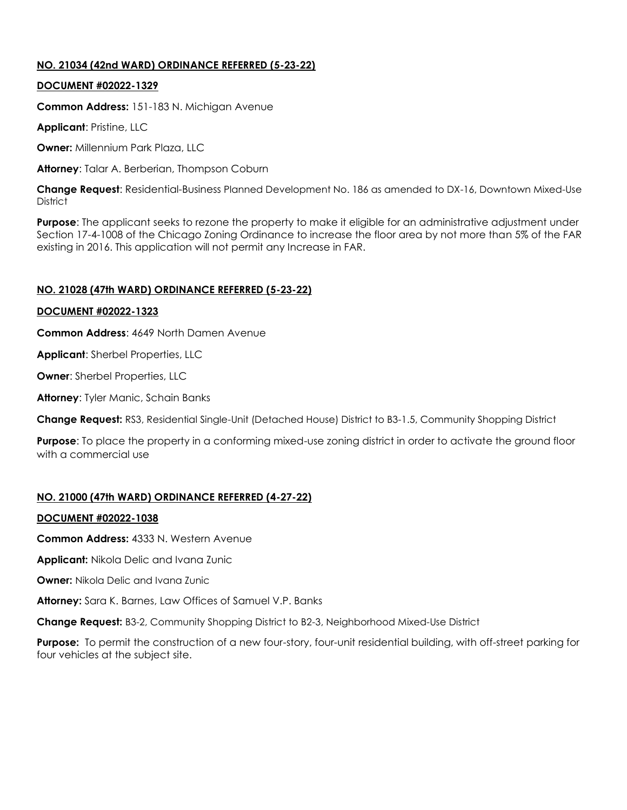# **NO. 21034 (42nd WARD) ORDINANCE REFERRED (5-23-22)**

#### **DOCUMENT #02022-1329**

**Common Address:** 151-183 N. Michigan Avenue

**Applicant**: Pristine, LLC

**Owner:** Millennium Park Plaza, LLC

**Attorney**: Talar A. Berberian, Thompson Coburn

**Change Request**: Residential-Business Planned Development No. 186 as amended to DX-16, Downtown Mixed-Use **District** 

**Purpose**: The applicant seeks to rezone the property to make it eligible for an administrative adjustment under Section 17-4-1008 of the Chicago Zoning Ordinance to increase the floor area by not more than 5% of the FAR existing in 2016. This application will not permit any Increase in FAR.

## **NO. 21028 (47th WARD) ORDINANCE REFERRED (5-23-22)**

#### **DOCUMENT #02022-1323**

**Common Address**: 4649 North Damen Avenue

**Applicant**: Sherbel Properties, LLC

**Owner**: Sherbel Properties, LLC

**Attorney**: Tyler Manic, Schain Banks

**Change Request:** RS3, Residential Single-Unit (Detached House) District to B3-1.5, Community Shopping District

**Purpose**: To place the property in a conforming mixed-use zoning district in order to activate the ground floor with a commercial use

## **NO. 21000 (47th WARD) ORDINANCE REFERRED (4-27-22)**

#### **DOCUMENT #02022-1038**

**Common Address:** 4333 N. Western Avenue

**Applicant:** Nikola Delic and Ivana Zunic

**Owner:** Nikola Delic and Ivana Zunic

**Attorney:** Sara K. Barnes, Law Offices of Samuel V.P. Banks

**Change Request:** B3-2, Community Shopping District to B2-3, Neighborhood Mixed-Use District

**Purpose:** To permit the construction of a new four-story, four-unit residential building, with off-street parking for four vehicles at the subject site.